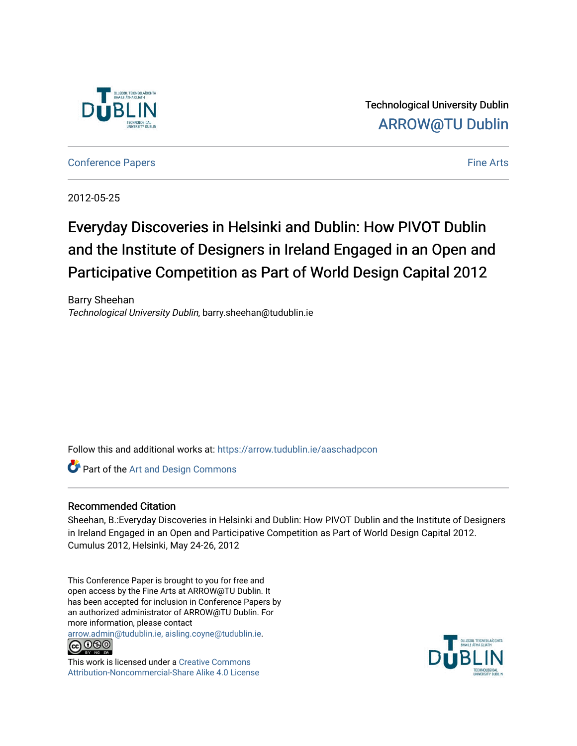

Technological University Dublin [ARROW@TU Dublin](https://arrow.tudublin.ie/) 

[Conference Papers](https://arrow.tudublin.ie/aaschadpcon) Fine Arts

2012-05-25

# Everyday Discoveries in Helsinki and Dublin: How PIVOT Dublin and the Institute of Designers in Ireland Engaged in an Open and Participative Competition as Part of World Design Capital 2012

Barry Sheehan Technological University Dublin, barry.sheehan@tudublin.ie

Follow this and additional works at: [https://arrow.tudublin.ie/aaschadpcon](https://arrow.tudublin.ie/aaschadpcon?utm_source=arrow.tudublin.ie%2Faaschadpcon%2F2&utm_medium=PDF&utm_campaign=PDFCoverPages) 

**Part of the [Art and Design Commons](http://network.bepress.com/hgg/discipline/1049?utm_source=arrow.tudublin.ie%2Faaschadpcon%2F2&utm_medium=PDF&utm_campaign=PDFCoverPages)** 

#### Recommended Citation

Sheehan, B.:Everyday Discoveries in Helsinki and Dublin: How PIVOT Dublin and the Institute of Designers in Ireland Engaged in an Open and Participative Competition as Part of World Design Capital 2012. Cumulus 2012, Helsinki, May 24-26, 2012

This Conference Paper is brought to you for free and open access by the Fine Arts at ARROW@TU Dublin. It has been accepted for inclusion in Conference Papers by an authorized administrator of ARROW@TU Dublin. For more information, please contact

[arrow.admin@tudublin.ie, aisling.coyne@tudublin.ie](mailto:arrow.admin@tudublin.ie,%20aisling.coyne@tudublin.ie).



This work is licensed under a [Creative Commons](http://creativecommons.org/licenses/by-nc-sa/4.0/) [Attribution-Noncommercial-Share Alike 4.0 License](http://creativecommons.org/licenses/by-nc-sa/4.0/)

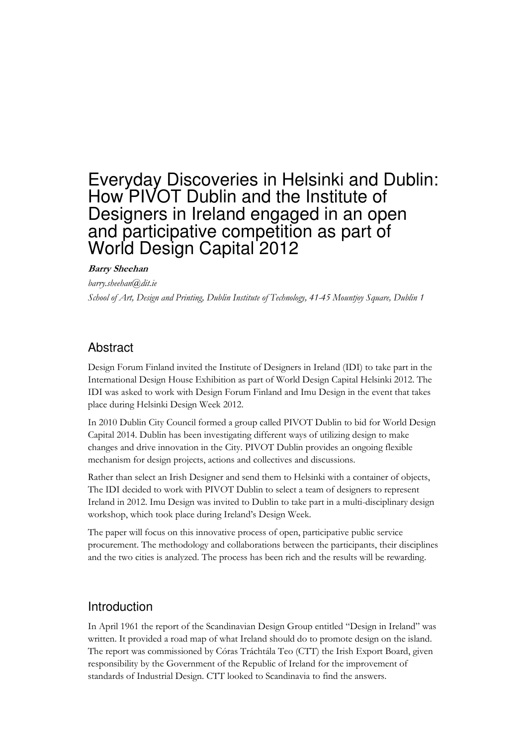# Everyday Discoveries in Helsinki and Dublin: How PIVOT Dublin and the Institute of Designers in Ireland engaged in an open and participative competition as part of World Design Capital 2012

#### Barry Sheehan

barry.sheehan@dit.ie School of Art, Design and Printing, Dublin Institute of Technology, 41-45 Mountjoy Square, Dublin 1

#### Abstract

Design Forum Finland invited the Institute of Designers in Ireland (IDI) to take part in the International Design House Exhibition as part of World Design Capital Helsinki 2012. The IDI was asked to work with Design Forum Finland and Imu Design in the event that takes place during Helsinki Design Week 2012.

In 2010 Dublin City Council formed a group called PIVOT Dublin to bid for World Design Capital 2014. Dublin has been investigating different ways of utilizing design to make changes and drive innovation in the City. PIVOT Dublin provides an ongoing flexible mechanism for design projects, actions and collectives and discussions.

Rather than select an Irish Designer and send them to Helsinki with a container of objects, The IDI decided to work with PIVOT Dublin to select a team of designers to represent Ireland in 2012. Imu Design was invited to Dublin to take part in a multi-disciplinary design workshop, which took place during Ireland's Design Week.

The paper will focus on this innovative process of open, participative public service procurement. The methodology and collaborations between the participants, their disciplines and the two cities is analyzed. The process has been rich and the results will be rewarding.

#### **Introduction**

In April 1961 the report of the Scandinavian Design Group entitled "Design in Ireland" was written. It provided a road map of what Ireland should do to promote design on the island. The report was commissioned by Córas Tráchtála Teo (CTT) the Irish Export Board, given responsibility by the Government of the Republic of Ireland for the improvement of standards of Industrial Design. CTT looked to Scandinavia to find the answers.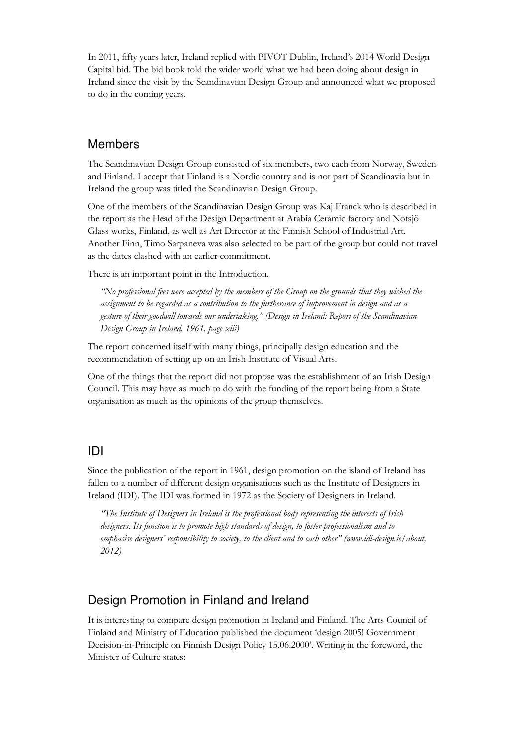In 2011, fifty years later, Ireland replied with PIVOT Dublin, Ireland's 2014 World Design Capital bid. The bid book told the wider world what we had been doing about design in Ireland since the visit by the Scandinavian Design Group and announced what we proposed to do in the coming years.

### Members

The Scandinavian Design Group consisted of six members, two each from Norway, Sweden and Finland. I accept that Finland is a Nordic country and is not part of Scandinavia but in Ireland the group was titled the Scandinavian Design Group.

One of the members of the Scandinavian Design Group was Kaj Franck who is described in the report as the Head of the Design Department at Arabia Ceramic factory and Notsjö Glass works, Finland, as well as Art Director at the Finnish School of Industrial Art. Another Finn, Timo Sarpaneva was also selected to be part of the group but could not travel as the dates clashed with an earlier commitment.

There is an important point in the Introduction.

"No professional fees were accepted by the members of the Group on the grounds that they wished the assignment to be regarded as a contribution to the furtherance of improvement in design and as a gesture of their goodwill towards our undertaking." (Design in Ireland: Report of the Scandinavian Design Group in Ireland, 1961, page xiii)

The report concerned itself with many things, principally design education and the recommendation of setting up on an Irish Institute of Visual Arts.

One of the things that the report did not propose was the establishment of an Irish Design Council. This may have as much to do with the funding of the report being from a State organisation as much as the opinions of the group themselves.

#### IDI

Since the publication of the report in 1961, design promotion on the island of Ireland has fallen to a number of different design organisations such as the Institute of Designers in Ireland (IDI). The IDI was formed in 1972 as the Society of Designers in Ireland.

"The Institute of Designers in Ireland is the professional body representing the interests of Irish designers. Its function is to promote high standards of design, to foster professionalism and to emphasise designers' responsibility to society, to the client and to each other" (www.idi-design.ie/about, 2012)

### Design Promotion in Finland and Ireland

It is interesting to compare design promotion in Ireland and Finland. The Arts Council of Finland and Ministry of Education published the document 'design 2005! Government Decision-in-Principle on Finnish Design Policy 15.06.2000'. Writing in the foreword, the Minister of Culture states: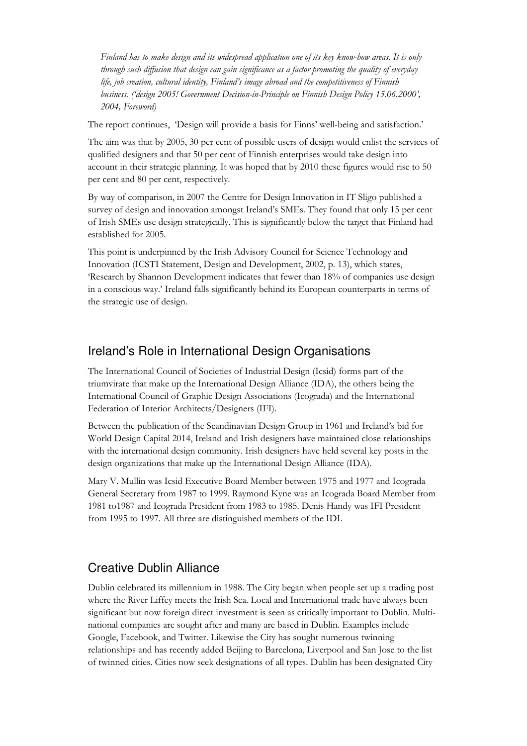Finland has to make design and its widespread application one of its key know-how areas. It is only through such diffusion that design can gain significance as a factor promoting the quality of everyday life, job creation, cultural identity, Finland's image abroad and the competitiveness of Finnish business. ('design 2005! Government Decision-in-Principle on Finnish Design Policy 15.06.2000', 2004, Foreword)

The report continues, 'Design will provide a basis for Finns' well-being and satisfaction.'

The aim was that by 2005, 30 per cent of possible users of design would enlist the services of qualified designers and that 50 per cent of Finnish enterprises would take design into account in their strategic planning. It was hoped that by 2010 these figures would rise to 50 per cent and 80 per cent, respectively.

By way of comparison, in 2007 the Centre for Design Innovation in IT Sligo published a survey of design and innovation amongst Ireland's SMEs. They found that only 15 per cent of Irish SMEs use design strategically. This is significantly below the target that Finland had established for 2005.

This point is underpinned by the Irish Advisory Council for Science Technology and Innovation (ICSTI Statement, Design and Development, 2002, p. 13), which states, 'Research by Shannon Development indicates that fewer than 18% of companies use design in a conscious way.' Ireland falls significantly behind its European counterparts in terms of the strategic use of design.

### Ireland's Role in International Design Organisations

The International Council of Societies of Industrial Design (Icsid) forms part of the triumvirate that make up the International Design Alliance (IDA), the others being the International Council of Graphic Design Associations (Icograda) and the International Federation of Interior Architects/Designers (IFI).

Between the publication of the Scandinavian Design Group in 1961 and Ireland's bid for World Design Capital 2014, Ireland and Irish designers have maintained close relationships with the international design community. Irish designers have held several key posts in the design organizations that make up the International Design Alliance (IDA).

Mary V. Mullin was Icsid Executive Board Member between 1975 and 1977 and Icograda General Secretary from 1987 to 1999. Raymond Kyne was an Icograda Board Member from 1981 to1987 and Icograda President from 1983 to 1985. Denis Handy was IFI President from 1995 to 1997. All three are distinguished members of the IDI.

# Creative Dublin Alliance

Dublin celebrated its millennium in 1988. The City began when people set up a trading post where the River Liffey meets the Irish Sea. Local and International trade have always been significant but now foreign direct investment is seen as critically important to Dublin. Multinational companies are sought after and many are based in Dublin. Examples include Google, Facebook, and Twitter. Likewise the City has sought numerous twinning relationships and has recently added Beijing to Barcelona, Liverpool and San Jose to the list of twinned cities. Cities now seek designations of all types. Dublin has been designated City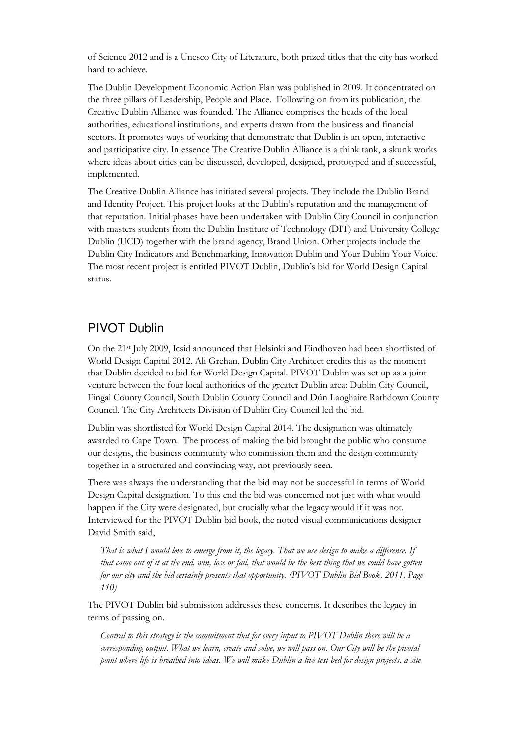of Science 2012 and is a Unesco City of Literature, both prized titles that the city has worked hard to achieve.

The Dublin Development Economic Action Plan was published in 2009. It concentrated on the three pillars of Leadership, People and Place. Following on from its publication, the Creative Dublin Alliance was founded. The Alliance comprises the heads of the local authorities, educational institutions, and experts drawn from the business and financial sectors. It promotes ways of working that demonstrate that Dublin is an open, interactive and participative city. In essence The Creative Dublin Alliance is a think tank, a skunk works where ideas about cities can be discussed, developed, designed, prototyped and if successful, implemented.

The Creative Dublin Alliance has initiated several projects. They include the Dublin Brand and Identity Project. This project looks at the Dublin's reputation and the management of that reputation. Initial phases have been undertaken with Dublin City Council in conjunction with masters students from the Dublin Institute of Technology (DIT) and University College Dublin (UCD) together with the brand agency, Brand Union. Other projects include the Dublin City Indicators and Benchmarking, Innovation Dublin and Your Dublin Your Voice. The most recent project is entitled PIVOT Dublin, Dublin's bid for World Design Capital status.

### PIVOT Dublin

On the 21st July 2009, Icsid announced that Helsinki and Eindhoven had been shortlisted of World Design Capital 2012. Ali Grehan, Dublin City Architect credits this as the moment that Dublin decided to bid for World Design Capital. PIVOT Dublin was set up as a joint venture between the four local authorities of the greater Dublin area: Dublin City Council, Fingal County Council, South Dublin County Council and Dún Laoghaire Rathdown County Council. The City Architects Division of Dublin City Council led the bid.

Dublin was shortlisted for World Design Capital 2014. The designation was ultimately awarded to Cape Town. The process of making the bid brought the public who consume our designs, the business community who commission them and the design community together in a structured and convincing way, not previously seen.

There was always the understanding that the bid may not be successful in terms of World Design Capital designation. To this end the bid was concerned not just with what would happen if the City were designated, but crucially what the legacy would if it was not. Interviewed for the PIVOT Dublin bid book, the noted visual communications designer David Smith said,

That is what I would love to emerge from it, the legacy. That we use design to make a difference. If that came out of it at the end, win, lose or fail, that would be the best thing that we could have gotten for our city and the bid certainly presents that opportunity. (PIVOT Dublin Bid Book, 2011, Page 110)

The PIVOT Dublin bid submission addresses these concerns. It describes the legacy in terms of passing on.

Central to this strategy is the commitment that for every input to PIVOT Dublin there will be a corresponding output. What we learn, create and solve, we will pass on. Our City will be the pivotal point where life is breathed into ideas. We will make Dublin a live test bed for design projects, a site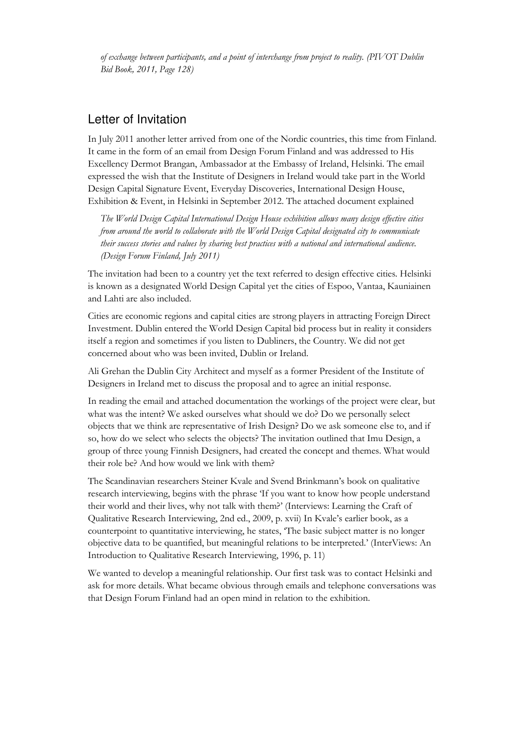of exchange between participants, and a point of interchange from project to reality. (PIVOT Dublin Bid Book, 2011, Page 128)

#### Letter of Invitation

In July 2011 another letter arrived from one of the Nordic countries, this time from Finland. It came in the form of an email from Design Forum Finland and was addressed to His Excellency Dermot Brangan, Ambassador at the Embassy of Ireland, Helsinki. The email expressed the wish that the Institute of Designers in Ireland would take part in the World Design Capital Signature Event, Everyday Discoveries, International Design House, Exhibition & Event, in Helsinki in September 2012. The attached document explained

The World Design Capital International Design House exhibition allows many design effective cities from around the world to collaborate with the World Design Capital designated city to communicate their success stories and values by sharing best practices with a national and international audience. (Design Forum Finland, July 2011)

The invitation had been to a country yet the text referred to design effective cities. Helsinki is known as a designated World Design Capital yet the cities of Espoo, Vantaa, Kauniainen and Lahti are also included.

Cities are economic regions and capital cities are strong players in attracting Foreign Direct Investment. Dublin entered the World Design Capital bid process but in reality it considers itself a region and sometimes if you listen to Dubliners, the Country. We did not get concerned about who was been invited, Dublin or Ireland.

Ali Grehan the Dublin City Architect and myself as a former President of the Institute of Designers in Ireland met to discuss the proposal and to agree an initial response.

In reading the email and attached documentation the workings of the project were clear, but what was the intent? We asked ourselves what should we do? Do we personally select objects that we think are representative of Irish Design? Do we ask someone else to, and if so, how do we select who selects the objects? The invitation outlined that Imu Design, a group of three young Finnish Designers, had created the concept and themes. What would their role be? And how would we link with them?

The Scandinavian researchers Steiner Kvale and Svend Brinkmann's book on qualitative research interviewing, begins with the phrase 'If you want to know how people understand their world and their lives, why not talk with them?' (Interviews: Learning the Craft of Qualitative Research Interviewing, 2nd ed., 2009, p. xvii) In Kvale's earlier book, as a counterpoint to quantitative interviewing, he states, 'The basic subject matter is no longer objective data to be quantified, but meaningful relations to be interpreted.' (InterViews: An Introduction to Qualitative Research Interviewing, 1996, p. 11)

We wanted to develop a meaningful relationship. Our first task was to contact Helsinki and ask for more details. What became obvious through emails and telephone conversations was that Design Forum Finland had an open mind in relation to the exhibition.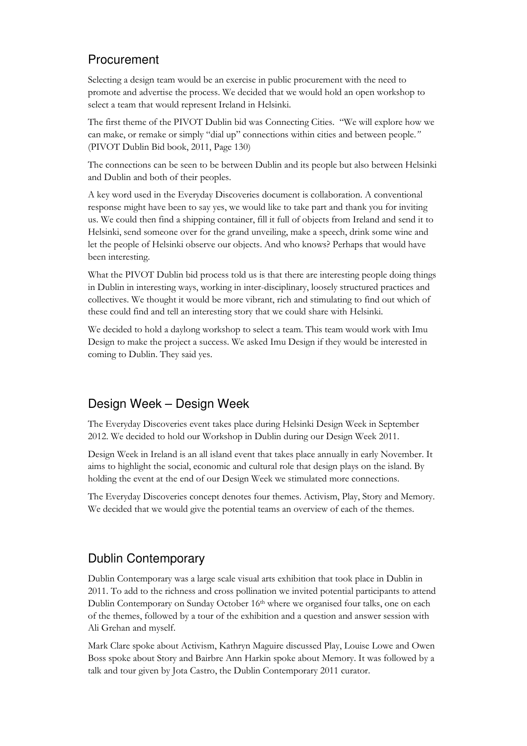# Procurement

Selecting a design team would be an exercise in public procurement with the need to promote and advertise the process. We decided that we would hold an open workshop to select a team that would represent Ireland in Helsinki.

The first theme of the PIVOT Dublin bid was Connecting Cities. "We will explore how we can make, or remake or simply "dial up" connections within cities and between people." (PIVOT Dublin Bid book, 2011, Page 130)

The connections can be seen to be between Dublin and its people but also between Helsinki and Dublin and both of their peoples.

A key word used in the Everyday Discoveries document is collaboration. A conventional response might have been to say yes, we would like to take part and thank you for inviting us. We could then find a shipping container, fill it full of objects from Ireland and send it to Helsinki, send someone over for the grand unveiling, make a speech, drink some wine and let the people of Helsinki observe our objects. And who knows? Perhaps that would have been interesting.

What the PIVOT Dublin bid process told us is that there are interesting people doing things in Dublin in interesting ways, working in inter-disciplinary, loosely structured practices and collectives. We thought it would be more vibrant, rich and stimulating to find out which of these could find and tell an interesting story that we could share with Helsinki.

We decided to hold a daylong workshop to select a team. This team would work with Imu Design to make the project a success. We asked Imu Design if they would be interested in coming to Dublin. They said yes.

# Design Week – Design Week

The Everyday Discoveries event takes place during Helsinki Design Week in September 2012. We decided to hold our Workshop in Dublin during our Design Week 2011.

Design Week in Ireland is an all island event that takes place annually in early November. It aims to highlight the social, economic and cultural role that design plays on the island. By holding the event at the end of our Design Week we stimulated more connections.

The Everyday Discoveries concept denotes four themes. Activism, Play, Story and Memory. We decided that we would give the potential teams an overview of each of the themes.

# Dublin Contemporary

Dublin Contemporary was a large scale visual arts exhibition that took place in Dublin in 2011. To add to the richness and cross pollination we invited potential participants to attend Dublin Contemporary on Sunday October 16<sup>th</sup> where we organised four talks, one on each of the themes, followed by a tour of the exhibition and a question and answer session with Ali Grehan and myself.

Mark Clare spoke about Activism, Kathryn Maguire discussed Play, Louise Lowe and Owen Boss spoke about Story and Bairbre Ann Harkin spoke about Memory. It was followed by a talk and tour given by Jota Castro, the Dublin Contemporary 2011 curator.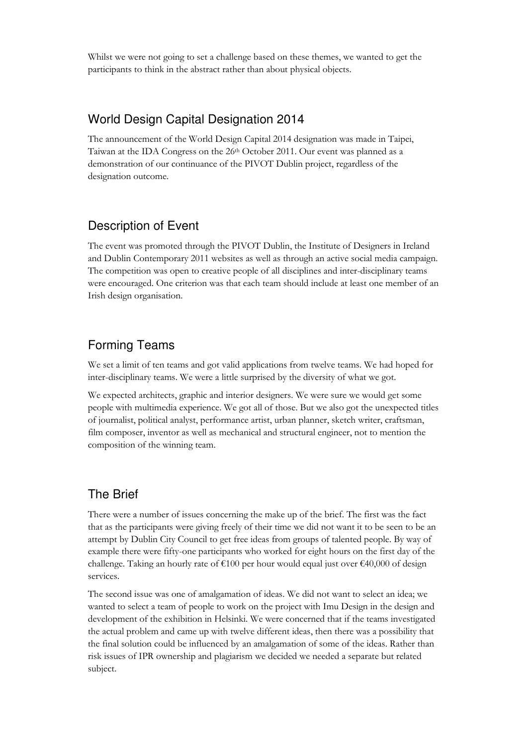Whilst we were not going to set a challenge based on these themes, we wanted to get the participants to think in the abstract rather than about physical objects.

### World Design Capital Designation 2014

The announcement of the World Design Capital 2014 designation was made in Taipei, Taiwan at the IDA Congress on the  $26<sup>th</sup>$  October 2011. Our event was planned as a demonstration of our continuance of the PIVOT Dublin project, regardless of the designation outcome.

### Description of Event

The event was promoted through the PIVOT Dublin, the Institute of Designers in Ireland and Dublin Contemporary 2011 websites as well as through an active social media campaign. The competition was open to creative people of all disciplines and inter-disciplinary teams were encouraged. One criterion was that each team should include at least one member of an Irish design organisation.

# Forming Teams

We set a limit of ten teams and got valid applications from twelve teams. We had hoped for inter-disciplinary teams. We were a little surprised by the diversity of what we got.

We expected architects, graphic and interior designers. We were sure we would get some people with multimedia experience. We got all of those. But we also got the unexpected titles of journalist, political analyst, performance artist, urban planner, sketch writer, craftsman, film composer, inventor as well as mechanical and structural engineer, not to mention the composition of the winning team.

### The Brief

There were a number of issues concerning the make up of the brief. The first was the fact that as the participants were giving freely of their time we did not want it to be seen to be an attempt by Dublin City Council to get free ideas from groups of talented people. By way of example there were fifty-one participants who worked for eight hours on the first day of the challenge. Taking an hourly rate of  $\epsilon$ 100 per hour would equal just over  $\epsilon$ 40,000 of design services.

The second issue was one of amalgamation of ideas. We did not want to select an idea; we wanted to select a team of people to work on the project with Imu Design in the design and development of the exhibition in Helsinki. We were concerned that if the teams investigated the actual problem and came up with twelve different ideas, then there was a possibility that the final solution could be influenced by an amalgamation of some of the ideas. Rather than risk issues of IPR ownership and plagiarism we decided we needed a separate but related subject.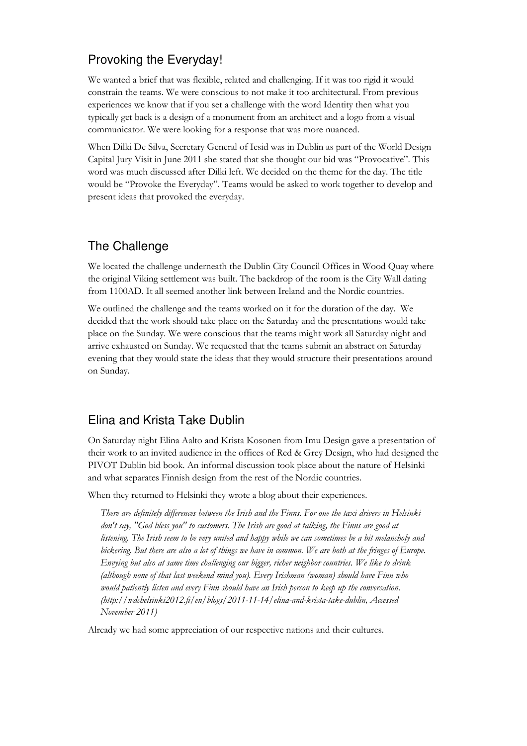# Provoking the Everyday!

We wanted a brief that was flexible, related and challenging. If it was too rigid it would constrain the teams. We were conscious to not make it too architectural. From previous experiences we know that if you set a challenge with the word Identity then what you typically get back is a design of a monument from an architect and a logo from a visual communicator. We were looking for a response that was more nuanced.

When Dilki De Silva, Secretary General of Icsid was in Dublin as part of the World Design Capital Jury Visit in June 2011 she stated that she thought our bid was "Provocative". This word was much discussed after Dilki left. We decided on the theme for the day. The title would be "Provoke the Everyday". Teams would be asked to work together to develop and present ideas that provoked the everyday.

# The Challenge

We located the challenge underneath the Dublin City Council Offices in Wood Quay where the original Viking settlement was built. The backdrop of the room is the City Wall dating from 1100AD. It all seemed another link between Ireland and the Nordic countries.

We outlined the challenge and the teams worked on it for the duration of the day. We decided that the work should take place on the Saturday and the presentations would take place on the Sunday. We were conscious that the teams might work all Saturday night and arrive exhausted on Sunday. We requested that the teams submit an abstract on Saturday evening that they would state the ideas that they would structure their presentations around on Sunday.

# Elina and Krista Take Dublin

On Saturday night Elina Aalto and Krista Kosonen from Imu Design gave a presentation of their work to an invited audience in the offices of Red & Grey Design, who had designed the PIVOT Dublin bid book. An informal discussion took place about the nature of Helsinki and what separates Finnish design from the rest of the Nordic countries.

When they returned to Helsinki they wrote a blog about their experiences.

There are definitely differences between the Irish and the Finns. For one the taxi drivers in Helsinki don't say, "God bless you" to customers. The Irish are good at talking, the Finns are good at listening. The Irish seem to be very united and happy while we can sometimes be a bit melancholy and bickering. But there are also a lot of things we have in common. We are both at the fringes of Europe. Envying but also at same time challenging our bigger, richer neighbor countries. We like to drink (although none of that last weekend mind you). Every Irishman (woman) should have Finn who would patiently listen and every Finn should have an Irish person to keep up the conversation. (http://wdchelsinki2012.fi/en/blogs/2011-11-14/elina-and-krista-take-dublin, Accessed November 2011)

Already we had some appreciation of our respective nations and their cultures.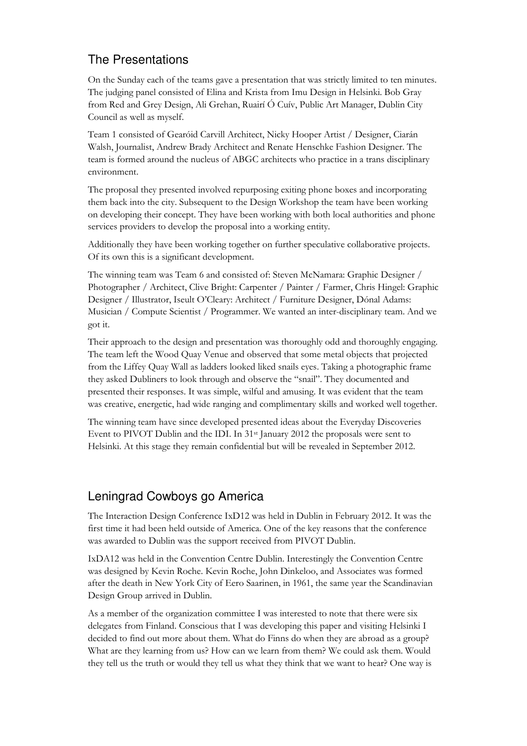# The Presentations

On the Sunday each of the teams gave a presentation that was strictly limited to ten minutes. The judging panel consisted of Elina and Krista from Imu Design in Helsinki. Bob Gray from Red and Grey Design, Ali Grehan, Ruairí Ó Cuív, Public Art Manager, Dublin City Council as well as myself.

Team 1 consisted of Gearóid Carvill Architect, Nicky Hooper Artist / Designer, Ciarán Walsh, Journalist, Andrew Brady Architect and Renate Henschke Fashion Designer. The team is formed around the nucleus of ABGC architects who practice in a trans disciplinary environment.

The proposal they presented involved repurposing exiting phone boxes and incorporating them back into the city. Subsequent to the Design Workshop the team have been working on developing their concept. They have been working with both local authorities and phone services providers to develop the proposal into a working entity.

Additionally they have been working together on further speculative collaborative projects. Of its own this is a significant development.

The winning team was Team 6 and consisted of: Steven McNamara: Graphic Designer / Photographer / Architect, Clive Bright: Carpenter / Painter / Farmer, Chris Hingel: Graphic Designer / Illustrator, Iseult O'Cleary: Architect / Furniture Designer, Dónal Adams: Musician / Compute Scientist / Programmer. We wanted an inter-disciplinary team. And we got it.

Their approach to the design and presentation was thoroughly odd and thoroughly engaging. The team left the Wood Quay Venue and observed that some metal objects that projected from the Liffey Quay Wall as ladders looked liked snails eyes. Taking a photographic frame they asked Dubliners to look through and observe the "snail". They documented and presented their responses. It was simple, wilful and amusing. It was evident that the team was creative, energetic, had wide ranging and complimentary skills and worked well together.

The winning team have since developed presented ideas about the Everyday Discoveries Event to PIVOT Dublin and the IDI. In 31st January 2012 the proposals were sent to Helsinki. At this stage they remain confidential but will be revealed in September 2012.

### Leningrad Cowboys go America

The Interaction Design Conference IxD12 was held in Dublin in February 2012. It was the first time it had been held outside of America. One of the key reasons that the conference was awarded to Dublin was the support received from PIVOT Dublin.

IxDA12 was held in the Convention Centre Dublin. Interestingly the Convention Centre was designed by Kevin Roche. Kevin Roche, John Dinkeloo, and Associates was formed after the death in New York City of Eero Saarinen, in 1961, the same year the Scandinavian Design Group arrived in Dublin.

As a member of the organization committee I was interested to note that there were six delegates from Finland. Conscious that I was developing this paper and visiting Helsinki I decided to find out more about them. What do Finns do when they are abroad as a group? What are they learning from us? How can we learn from them? We could ask them. Would they tell us the truth or would they tell us what they think that we want to hear? One way is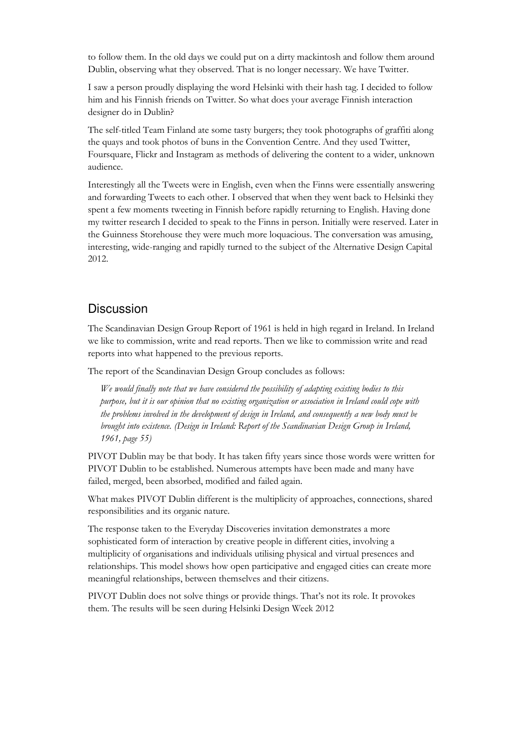to follow them. In the old days we could put on a dirty mackintosh and follow them around Dublin, observing what they observed. That is no longer necessary. We have Twitter.

I saw a person proudly displaying the word Helsinki with their hash tag. I decided to follow him and his Finnish friends on Twitter. So what does your average Finnish interaction designer do in Dublin?

The self-titled Team Finland ate some tasty burgers; they took photographs of graffiti along the quays and took photos of buns in the Convention Centre. And they used Twitter, Foursquare, Flickr and Instagram as methods of delivering the content to a wider, unknown audience.

Interestingly all the Tweets were in English, even when the Finns were essentially answering and forwarding Tweets to each other. I observed that when they went back to Helsinki they spent a few moments tweeting in Finnish before rapidly returning to English. Having done my twitter research I decided to speak to the Finns in person. Initially were reserved. Later in the Guinness Storehouse they were much more loquacious. The conversation was amusing, interesting, wide-ranging and rapidly turned to the subject of the Alternative Design Capital 2012.

#### **Discussion**

The Scandinavian Design Group Report of 1961 is held in high regard in Ireland. In Ireland we like to commission, write and read reports. Then we like to commission write and read reports into what happened to the previous reports.

The report of the Scandinavian Design Group concludes as follows:

We would finally note that we have considered the possibility of adapting existing bodies to this purpose, but it is our opinion that no existing organization or association in Ireland could cope with the problems involved in the development of design in Ireland, and consequently a new body must be brought into existence. (Design in Ireland: Report of the Scandinavian Design Group in Ireland, 1961, page 55)

PIVOT Dublin may be that body. It has taken fifty years since those words were written for PIVOT Dublin to be established. Numerous attempts have been made and many have failed, merged, been absorbed, modified and failed again.

What makes PIVOT Dublin different is the multiplicity of approaches, connections, shared responsibilities and its organic nature.

The response taken to the Everyday Discoveries invitation demonstrates a more sophisticated form of interaction by creative people in different cities, involving a multiplicity of organisations and individuals utilising physical and virtual presences and relationships. This model shows how open participative and engaged cities can create more meaningful relationships, between themselves and their citizens.

PIVOT Dublin does not solve things or provide things. That's not its role. It provokes them. The results will be seen during Helsinki Design Week 2012